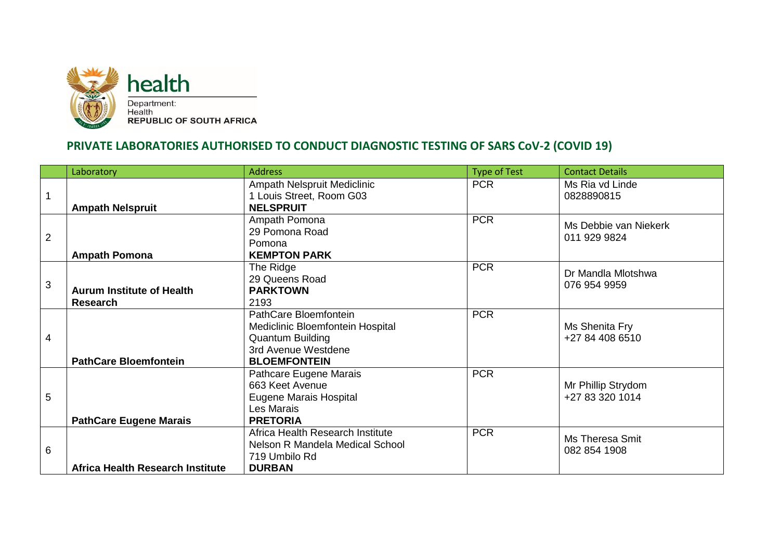

## **PRIVATE LABORATORIES AUTHORISED TO CONDUCT DIAGNOSTIC TESTING OF SARS CoV-2 (COVID 19)**

|                | Laboratory                                          | <b>Address</b>                                                                                                                     | <b>Type of Test</b> | <b>Contact Details</b>                |
|----------------|-----------------------------------------------------|------------------------------------------------------------------------------------------------------------------------------------|---------------------|---------------------------------------|
| $\mathbf{1}$   | <b>Ampath Nelspruit</b>                             | Ampath Nelspruit Mediclinic<br>1 Louis Street, Room G03<br><b>NELSPRUIT</b>                                                        | <b>PCR</b>          | Ms Ria vd Linde<br>0828890815         |
| $\overline{2}$ | <b>Ampath Pomona</b>                                | Ampath Pomona<br>29 Pomona Road<br>Pomona<br><b>KEMPTON PARK</b>                                                                   | <b>PCR</b>          | Ms Debbie van Niekerk<br>011 929 9824 |
| $\mathfrak{S}$ | <b>Aurum Institute of Health</b><br><b>Research</b> | The Ridge<br>29 Queens Road<br><b>PARKTOWN</b><br>2193                                                                             | <b>PCR</b>          | Dr Mandla Mlotshwa<br>076 954 9959    |
| 4              | <b>PathCare Bloemfontein</b>                        | PathCare Bloemfontein<br>Mediclinic Bloemfontein Hospital<br><b>Quantum Building</b><br>3rd Avenue Westdene<br><b>BLOEMFONTEIN</b> | <b>PCR</b>          | Ms Shenita Fry<br>+27 84 408 6510     |
| 5              | <b>PathCare Eugene Marais</b>                       | Pathcare Eugene Marais<br>663 Keet Avenue<br><b>Eugene Marais Hospital</b><br>Les Marais<br><b>PRETORIA</b>                        | <b>PCR</b>          | Mr Phillip Strydom<br>+27 83 320 1014 |
| 6              | Africa Health Research Institute                    | Africa Health Research Institute<br>Nelson R Mandela Medical School<br>719 Umbilo Rd<br><b>DURBAN</b>                              | <b>PCR</b>          | Ms Theresa Smit<br>082 854 1908       |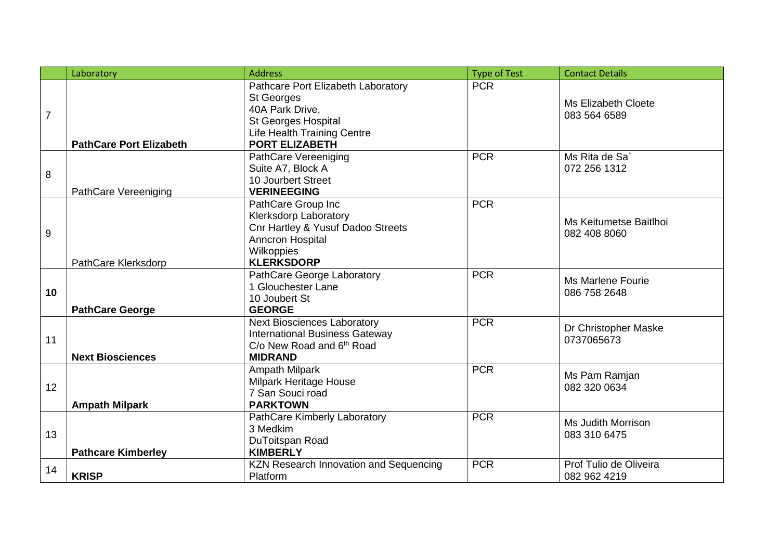|                | Laboratory                     | <b>Address</b>                                                                                                                                                          | <b>Type of Test</b> | <b>Contact Details</b>                     |
|----------------|--------------------------------|-------------------------------------------------------------------------------------------------------------------------------------------------------------------------|---------------------|--------------------------------------------|
| $\overline{7}$ | <b>PathCare Port Elizabeth</b> | Pathcare Port Elizabeth Laboratory<br><b>St Georges</b><br>40A Park Drive,<br><b>St Georges Hospital</b><br><b>Life Health Training Centre</b><br><b>PORT ELIZABETH</b> | <b>PCR</b>          | <b>Ms Elizabeth Cloete</b><br>083 564 6589 |
| 8              | PathCare Vereeniging           | <b>PathCare Vereeniging</b><br>Suite A7, Block A<br>10 Jourbert Street<br><b>VERINEEGING</b>                                                                            | <b>PCR</b>          | Ms Rita de Sa <sup>®</sup><br>072 256 1312 |
| 9              | PathCare Klerksdorp            | PathCare Group Inc<br><b>Klerksdorp Laboratory</b><br>Cnr Hartley & Yusuf Dadoo Streets<br>Anncron Hospital<br>Wilkoppies<br><b>KLERKSDORP</b>                          | <b>PCR</b>          | Ms Keitumetse Baitlhoi<br>082 408 8060     |
| 10             | <b>PathCare George</b>         | PathCare George Laboratory<br>1 Glouchester Lane<br>10 Joubert St<br><b>GEORGE</b>                                                                                      | <b>PCR</b>          | Ms Marlene Fourie<br>086 758 2648          |
| 11             | <b>Next Biosciences</b>        | <b>Next Biosciences Laboratory</b><br><b>International Business Gateway</b><br>C/o New Road and 6 <sup>th</sup> Road<br><b>MIDRAND</b>                                  | <b>PCR</b>          | Dr Christopher Maske<br>0737065673         |
| 12             | <b>Ampath Milpark</b>          | <b>Ampath Milpark</b><br>Milpark Heritage House<br>7 San Souci road<br><b>PARKTOWN</b>                                                                                  | <b>PCR</b>          | Ms Pam Ramjan<br>082 320 0634              |
| 13             | <b>Pathcare Kimberley</b>      | PathCare Kimberly Laboratory<br>3 Medkim<br>DuToitspan Road<br><b>KIMBERLY</b>                                                                                          | <b>PCR</b>          | Ms Judith Morrison<br>083 310 6475         |
| 14             | <b>KRISP</b>                   | <b>KZN Research Innovation and Sequencing</b><br>Platform                                                                                                               | <b>PCR</b>          | Prof Tulio de Oliveira<br>082 962 4219     |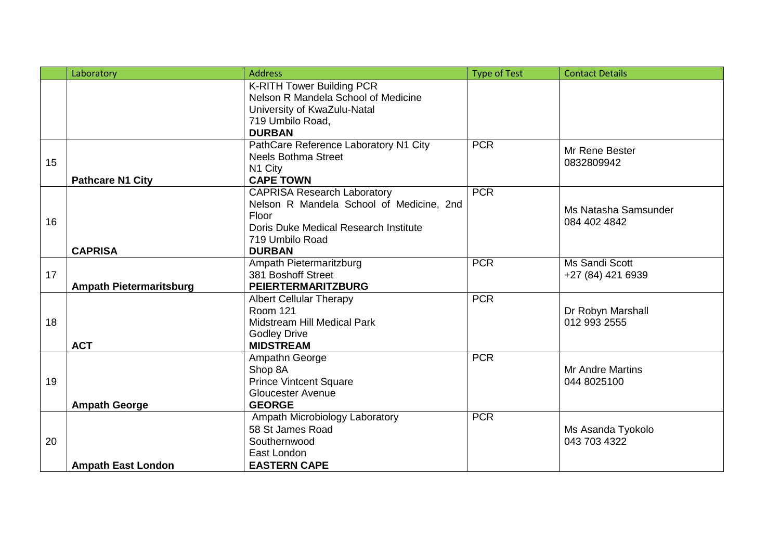|    | Laboratory                     | <b>Address</b>                                                                                                                                                       | <b>Type of Test</b> | <b>Contact Details</b>                 |
|----|--------------------------------|----------------------------------------------------------------------------------------------------------------------------------------------------------------------|---------------------|----------------------------------------|
|    |                                | <b>K-RITH Tower Building PCR</b><br>Nelson R Mandela School of Medicine<br>University of KwaZulu-Natal<br>719 Umbilo Road,<br><b>DURBAN</b>                          |                     |                                        |
| 15 | <b>Pathcare N1 City</b>        | PathCare Reference Laboratory N1 City<br><b>Neels Bothma Street</b><br>N1 City<br><b>CAPE TOWN</b>                                                                   | <b>PCR</b>          | Mr Rene Bester<br>0832809942           |
| 16 | <b>CAPRISA</b>                 | <b>CAPRISA Research Laboratory</b><br>Nelson R Mandela School of Medicine, 2nd<br>Floor<br>Doris Duke Medical Research Institute<br>719 Umbilo Road<br><b>DURBAN</b> | <b>PCR</b>          | Ms Natasha Samsunder<br>084 402 4842   |
| 17 | <b>Ampath Pietermaritsburg</b> | Ampath Pietermaritzburg<br>381 Boshoff Street<br><b>PEIERTERMARITZBURG</b>                                                                                           | <b>PCR</b>          | Ms Sandi Scott<br>+27 (84) 421 6939    |
| 18 | <b>ACT</b>                     | <b>Albert Cellular Therapy</b><br><b>Room 121</b><br>Midstream Hill Medical Park<br><b>Godley Drive</b><br><b>MIDSTREAM</b>                                          | <b>PCR</b>          | Dr Robyn Marshall<br>012 993 2555      |
| 19 | <b>Ampath George</b>           | Ampathn George<br>Shop 8A<br><b>Prince Vintcent Square</b><br><b>Gloucester Avenue</b><br><b>GEORGE</b>                                                              | <b>PCR</b>          | <b>Mr Andre Martins</b><br>044 8025100 |
| 20 | <b>Ampath East London</b>      | Ampath Microbiology Laboratory<br>58 St James Road<br>Southernwood<br>East London<br><b>EASTERN CAPE</b>                                                             | <b>PCR</b>          | Ms Asanda Tyokolo<br>043 703 4322      |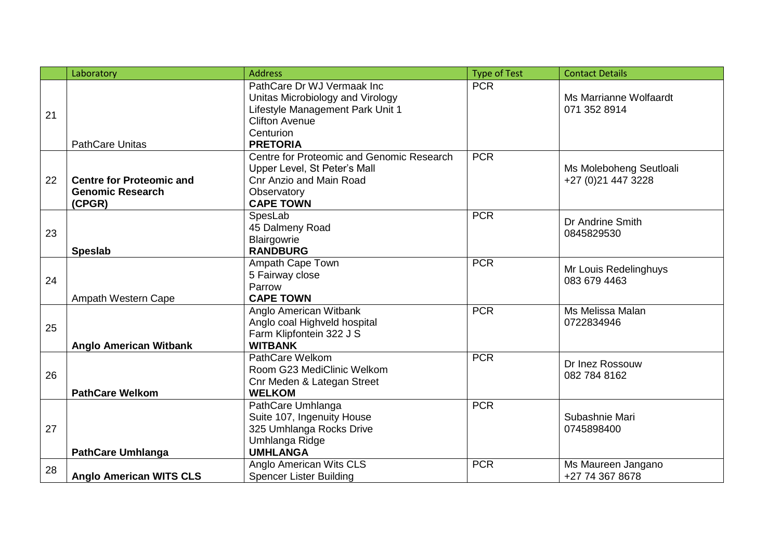|    | Laboratory                                                           | <b>Address</b>                                                                                                                                              | <b>Type of Test</b> | <b>Contact Details</b>                         |
|----|----------------------------------------------------------------------|-------------------------------------------------------------------------------------------------------------------------------------------------------------|---------------------|------------------------------------------------|
| 21 | <b>PathCare Unitas</b>                                               | PathCare Dr WJ Vermaak Inc<br>Unitas Microbiology and Virology<br>Lifestyle Management Park Unit 1<br><b>Clifton Avenue</b><br>Centurion<br><b>PRETORIA</b> | <b>PCR</b>          | Ms Marrianne Wolfaardt<br>071 352 8914         |
| 22 | <b>Centre for Proteomic and</b><br><b>Genomic Research</b><br>(CPGR) | Centre for Proteomic and Genomic Research<br>Upper Level, St Peter's Mall<br>Cnr Anzio and Main Road<br>Observatory<br><b>CAPE TOWN</b>                     | <b>PCR</b>          | Ms Moleboheng Seutloali<br>+27 (0) 21 447 3228 |
| 23 | <b>Speslab</b>                                                       | SpesLab<br>45 Dalmeny Road<br>Blairgowrie<br><b>RANDBURG</b>                                                                                                | <b>PCR</b>          | Dr Andrine Smith<br>0845829530                 |
| 24 | Ampath Western Cape                                                  | Ampath Cape Town<br>5 Fairway close<br>Parrow<br><b>CAPE TOWN</b>                                                                                           | <b>PCR</b>          | Mr Louis Redelinghuys<br>083 679 4463          |
| 25 | <b>Anglo American Witbank</b>                                        | Anglo American Witbank<br>Anglo coal Highveld hospital<br>Farm Klipfontein 322 J S<br><b>WITBANK</b>                                                        | <b>PCR</b>          | Ms Melissa Malan<br>0722834946                 |
| 26 | <b>PathCare Welkom</b>                                               | PathCare Welkom<br>Room G23 MediClinic Welkom<br>Cnr Meden & Lategan Street<br><b>WELKOM</b>                                                                | <b>PCR</b>          | Dr Inez Rossouw<br>082 784 8162                |
| 27 | <b>PathCare Umhlanga</b>                                             | PathCare Umhlanga<br>Suite 107, Ingenuity House<br>325 Umhlanga Rocks Drive<br>Umhlanga Ridge<br><b>UMHLANGA</b>                                            | <b>PCR</b>          | Subashnie Mari<br>0745898400                   |
| 28 | <b>Anglo American WITS CLS</b>                                       | Anglo American Wits CLS<br><b>Spencer Lister Building</b>                                                                                                   | <b>PCR</b>          | Ms Maureen Jangano<br>+27 74 367 8678          |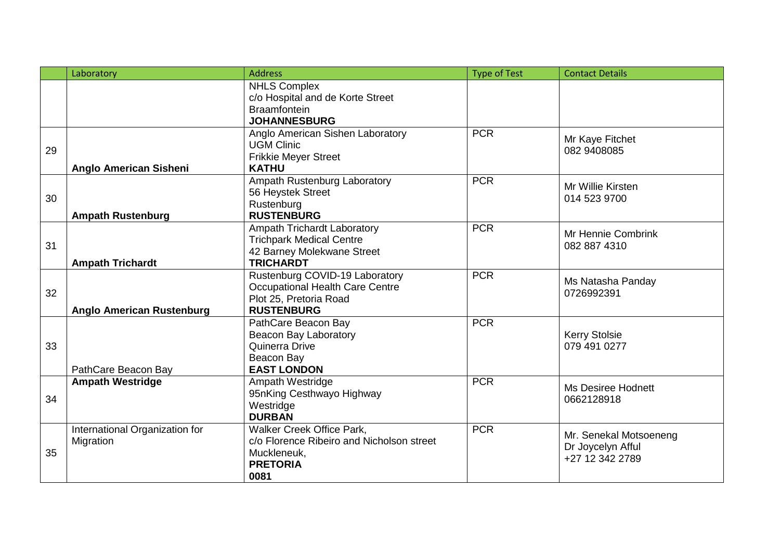|    | Laboratory                                  | <b>Address</b>                                                                                                   | <b>Type of Test</b> | <b>Contact Details</b>                                         |
|----|---------------------------------------------|------------------------------------------------------------------------------------------------------------------|---------------------|----------------------------------------------------------------|
|    |                                             | <b>NHLS Complex</b><br>c/o Hospital and de Korte Street<br><b>Braamfontein</b><br><b>JOHANNESBURG</b>            |                     |                                                                |
| 29 | <b>Anglo American Sisheni</b>               | Anglo American Sishen Laboratory<br><b>UGM Clinic</b><br><b>Frikkie Meyer Street</b><br><b>KATHU</b>             | <b>PCR</b>          | Mr Kaye Fitchet<br>082 9408085                                 |
| 30 | <b>Ampath Rustenburg</b>                    | Ampath Rustenburg Laboratory<br>56 Heystek Street<br>Rustenburg<br><b>RUSTENBURG</b>                             | <b>PCR</b>          | Mr Willie Kirsten<br>014 523 9700                              |
| 31 | <b>Ampath Trichardt</b>                     | Ampath Trichardt Laboratory<br><b>Trichpark Medical Centre</b><br>42 Barney Molekwane Street<br><b>TRICHARDT</b> | <b>PCR</b>          | Mr Hennie Combrink<br>082 887 4310                             |
| 32 | <b>Anglo American Rustenburg</b>            | Rustenburg COVID-19 Laboratory<br>Occupational Health Care Centre<br>Plot 25, Pretoria Road<br><b>RUSTENBURG</b> | <b>PCR</b>          | Ms Natasha Panday<br>0726992391                                |
| 33 | PathCare Beacon Bay                         | PathCare Beacon Bay<br>Beacon Bay Laboratory<br>Quinerra Drive<br>Beacon Bay<br><b>EAST LONDON</b>               | <b>PCR</b>          | <b>Kerry Stolsie</b><br>079 491 0277                           |
| 34 | <b>Ampath Westridge</b>                     | Ampath Westridge<br>95nKing Cesthwayo Highway<br>Westridge<br><b>DURBAN</b>                                      | <b>PCR</b>          | Ms Desiree Hodnett<br>0662128918                               |
| 35 | International Organization for<br>Migration | Walker Creek Office Park,<br>c/o Florence Ribeiro and Nicholson street<br>Muckleneuk,<br><b>PRETORIA</b><br>0081 | <b>PCR</b>          | Mr. Senekal Motsoeneng<br>Dr Joycelyn Afful<br>+27 12 342 2789 |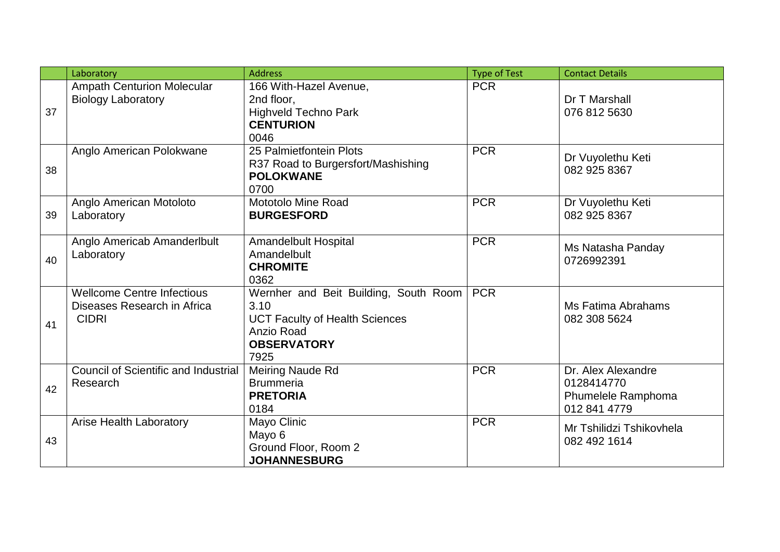|    | Laboratory                                                                       | <b>Address</b>                                                                                                                     | <b>Type of Test</b> | <b>Contact Details</b>                                                 |
|----|----------------------------------------------------------------------------------|------------------------------------------------------------------------------------------------------------------------------------|---------------------|------------------------------------------------------------------------|
| 37 | <b>Ampath Centurion Molecular</b><br><b>Biology Laboratory</b>                   | 166 With-Hazel Avenue,<br>2nd floor.<br><b>Highveld Techno Park</b><br><b>CENTURION</b><br>0046                                    | <b>PCR</b>          | Dr T Marshall<br>076 812 5630                                          |
| 38 | Anglo American Polokwane                                                         | 25 Palmietfontein Plots<br>R37 Road to Burgersfort/Mashishing<br><b>POLOKWANE</b><br>0700                                          | <b>PCR</b>          | Dr Vuyolethu Keti<br>082 925 8367                                      |
| 39 | Anglo American Motoloto<br>Laboratory                                            | <b>Mototolo Mine Road</b><br><b>BURGESFORD</b>                                                                                     | <b>PCR</b>          | Dr Vuyolethu Keti<br>082 925 8367                                      |
| 40 | Anglo Americab Amanderlbult<br>Laboratory                                        | <b>Amandelbult Hospital</b><br>Amandelbult<br><b>CHROMITE</b><br>0362                                                              | <b>PCR</b>          | Ms Natasha Panday<br>0726992391                                        |
| 41 | <b>Wellcome Centre Infectious</b><br>Diseases Research in Africa<br><b>CIDRI</b> | Wernher and Beit Building, South Room<br>3.10<br><b>UCT Faculty of Health Sciences</b><br>Anzio Road<br><b>OBSERVATORY</b><br>7925 | <b>PCR</b>          | Ms Fatima Abrahams<br>082 308 5624                                     |
| 42 | <b>Council of Scientific and Industrial</b><br>Research                          | Meiring Naude Rd<br><b>Brummeria</b><br><b>PRETORIA</b><br>0184                                                                    | <b>PCR</b>          | Dr. Alex Alexandre<br>0128414770<br>Phumelele Ramphoma<br>012 841 4779 |
| 43 | <b>Arise Health Laboratory</b>                                                   | Mayo Clinic<br>Mayo 6<br>Ground Floor, Room 2<br><b>JOHANNESBURG</b>                                                               | <b>PCR</b>          | Mr Tshilidzi Tshikovhela<br>082 492 1614                               |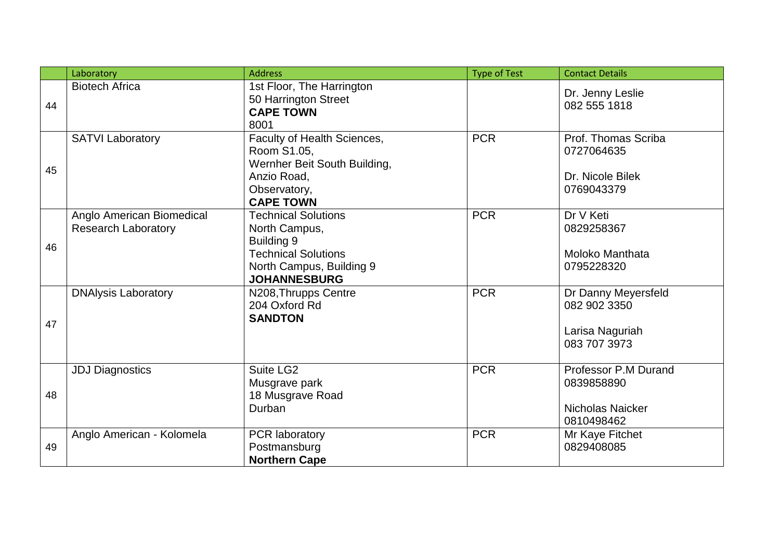|    | Laboratory                                              | <b>Address</b>                                                                                                                             | <b>Type of Test</b> | <b>Contact Details</b>                                                 |
|----|---------------------------------------------------------|--------------------------------------------------------------------------------------------------------------------------------------------|---------------------|------------------------------------------------------------------------|
| 44 | <b>Biotech Africa</b>                                   | 1st Floor, The Harrington<br>50 Harrington Street<br><b>CAPE TOWN</b><br>8001                                                              |                     | Dr. Jenny Leslie<br>082 555 1818                                       |
| 45 | <b>SATVI Laboratory</b>                                 | Faculty of Health Sciences,<br>Room S1.05,<br>Wernher Beit South Building,<br>Anzio Road,<br>Observatory,<br><b>CAPE TOWN</b>              | <b>PCR</b>          | Prof. Thomas Scriba<br>0727064635<br>Dr. Nicole Bilek<br>0769043379    |
| 46 | Anglo American Biomedical<br><b>Research Laboratory</b> | <b>Technical Solutions</b><br>North Campus,<br>Building 9<br><b>Technical Solutions</b><br>North Campus, Building 9<br><b>JOHANNESBURG</b> | <b>PCR</b>          | Dr V Keti<br>0829258367<br><b>Moloko Manthata</b><br>0795228320        |
| 47 | <b>DNAIysis Laboratory</b>                              | N208, Thrupps Centre<br>204 Oxford Rd<br><b>SANDTON</b>                                                                                    | <b>PCR</b>          | Dr Danny Meyersfeld<br>082 902 3350<br>Larisa Naguriah<br>083 707 3973 |
| 48 | <b>JDJ Diagnostics</b>                                  | Suite LG2<br>Musgrave park<br>18 Musgrave Road<br>Durban                                                                                   | <b>PCR</b>          | Professor P.M Durand<br>0839858890<br>Nicholas Naicker<br>0810498462   |
| 49 | Anglo American - Kolomela                               | <b>PCR</b> laboratory<br>Postmansburg<br><b>Northern Cape</b>                                                                              | <b>PCR</b>          | Mr Kaye Fitchet<br>0829408085                                          |